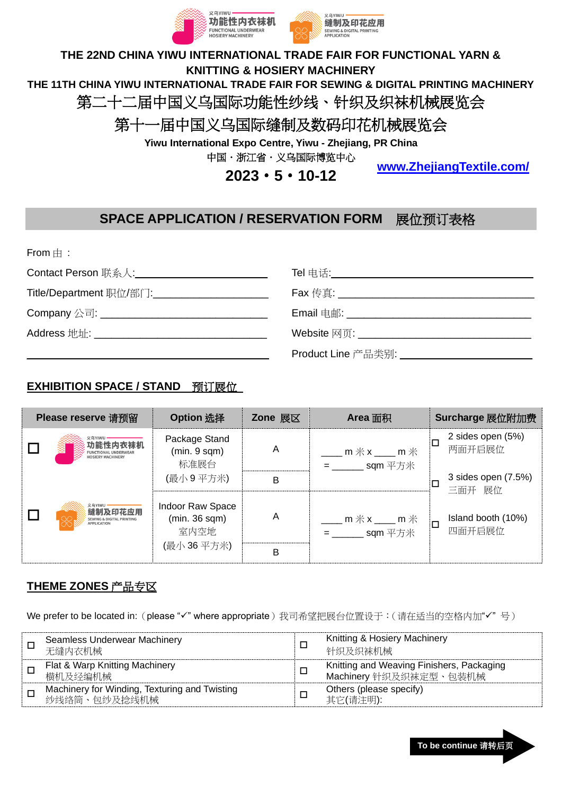



## **THE 22ND CHINA YIWU INTERNATIONAL TRADE FAIR FOR FUNCTIONAL YARN & KNITTING & HOSIERY MACHINERY THE 11TH CHINA YIWU INTERNATIONAL TRADE FAIR FOR SEWING & DIGITAL PRINTING MACHINERY** 第二十二届中国义乌国际功能性纱线、针织及织袜机械展览会 第十一届中国义乌国际缝制及数码印花机械展览会

**Yiwu International Expo Centre, Yiwu - Zhejiang, PR China** 中国 · 浙江省 · 义乌国际博览中心

**2023**·**5**·**10-12**

**[www.ZhejiangTextile.com/](http://www.zhejiangtextile.com/)**

## **SPACE APPLICATION / RESERVATION FORM** 展位预订表格

From  $\pm$  :

| Contact Person 联系人: __________________________ |                                                |
|------------------------------------------------|------------------------------------------------|
| Title/Department 职位/部门:_______________________ |                                                |
| Company 公司: __________________________________ |                                                |
|                                                | Website 网页: __________________________________ |
|                                                | Product Line 产品类别: _________________________   |

## **EXHIBITION SPACE / STAND** 预订展位

| Please reserve 请预留                                                              | <b>Option 选择</b>                                                    | $\mathsf{Zone} \not\mathbb{R}$ 区 | Area 面积                                     | Surcharge 展位附加费                   |  |  |
|---------------------------------------------------------------------------------|---------------------------------------------------------------------|----------------------------------|---------------------------------------------|-----------------------------------|--|--|
| 功能性内衣袜机<br><b>HOSIERY MACHINERY</b>                                             | Package Stand<br>(min. 9 sqm)<br>标准展台                               | A                                | _ m $\#$ x ____ m $\#$<br>sqm 平方米           | 2 sides open (5%)<br>两面开启展位       |  |  |
|                                                                                 | (最小9平方米)                                                            | B                                |                                             | 3 sides open (7.5%)<br>三面开 展位     |  |  |
| 义乌YIWU<br>缝制及印花应用<br><b>SEWING &amp; DIGITAL PRINTING</b><br><b>APPLICATION</b> | <b>Indoor Raw Space</b><br>$(min.36$ sqm $)$<br>室内空地<br>(最小 36 平方米) | A                                | _ m $\#$ x ____ m $\#$<br>= _______ sqm 平方米 | Island booth (10%)<br>□<br>四面开启展位 |  |  |
|                                                                                 |                                                                     | B                                |                                             |                                   |  |  |

## **THEME ZONES** 产品专区

We prefer to be located in: (please "√" where appropriate)我司希望把展台位置设于:(请在适当的空格内加"√"号)

| □ | Seamless Underwear Machinery<br>无缝内衣机械                        | $\Box$ | Knitting & Hosiery Machinery<br>针织及织袜机械                             |
|---|---------------------------------------------------------------|--------|---------------------------------------------------------------------|
|   | Flat & Warp Knitting Machinery<br>横机及经编机械                     | $\Box$ | Knitting and Weaving Finishers, Packaging<br>Machinery 针织及织袜定型、包装机械 |
|   | Machinery for Winding, Texturing and Twisting<br>纱线络筒、包纱及捻线机械 | $\Box$ | Others (please specify)<br>其它(请注明):                                 |